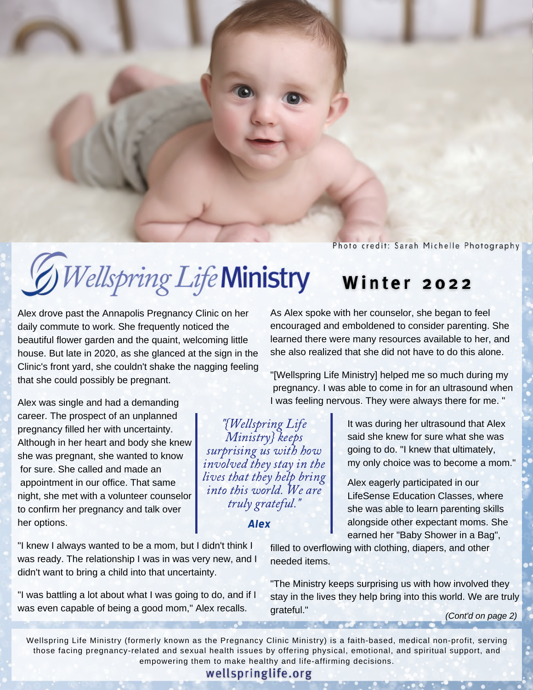Photo credit: Sarah Michelle Photography

### *Wellspring Life* Ministry Winter 2022

Alex drove past the Annapolis Pregnancy Clinic on her daily commute to work. She frequently noticed the beautiful flower garden and the quaint, welcoming little house. But late in 2020, as she glanced at the sign in the Clinic's front yard, she couldn't shake the nagging feeling that she could possibly be pregnant.

Alex was single and had a demanding career. The prospect of an unplanned pregnancy filled her with uncertainty. Although in her heart and body she knew she was pregnant, she wanted to know for sure. She called and made an appointment in our office. That same night, she met with a volunteer counselor to confirm her pregnancy and talk over her options.

"I knew I always wanted to be a mom, but I didn't think I was ready. The relationship I was in was very new, and I didn't want to bring a child into that uncertainty.

"I was battling a lot about what I was going to do, and if I was even capable of being a good mom," Alex recalls.

As Alex spoke with her counselor, she began to feel encouraged and emboldened to consider parenting. She learned there were many resources available to her, and she also realized that she did not have to do this alone.

"[Wellspring Life Ministry] helped me so much during my pregnancy. I was able to come in for an ultrasound when I was feeling nervous. They were always there for me. "

 lives that they help bring "{Wellspring Life Ministry} keeps surprising us with how involved they stay in the into this world. We are truly grateful."

#### *Alex*

 It was during her ultrasound that Alex said she knew for sure what she was going to do. "I knew that ultimately, my only choice was to become a mom."

 Alex eagerly participated in our LifeSense Education Classes, where she was able to learn parenting skills alongside other expectant moms. She earned her "Baby Shower in a Bag",

filled to overflowing with clothing, diapers, and other needed items.

"The Ministry keeps surprising us with how involved they stay in the lives they help bring into this world. We are truly grateful." *(Cont'd on page 2)*

Wellspring Life Ministry (formerly known as the Pregnancy Clinic Ministry) is a faith-based, medical non-profit, serving those facing pregnancy-related and sexual health issues by offering physical, emotional, and spiritual support, and empowering them to make healthy and life-affirming decisions.

wellspringlife.org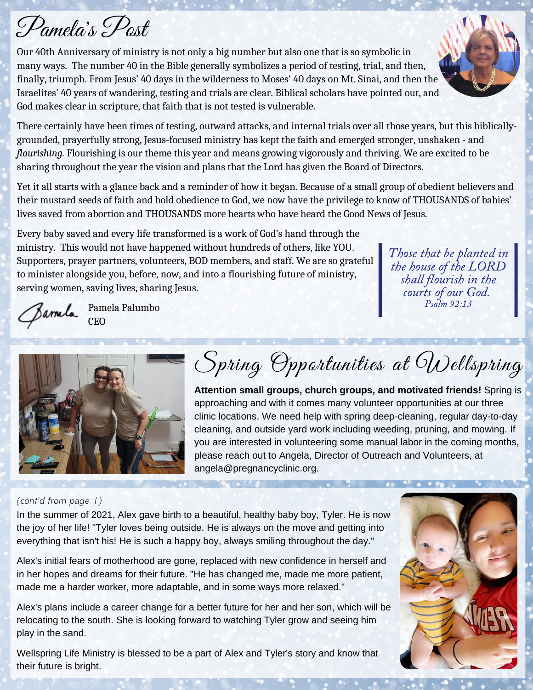# Pamela 's Post

Our 40th Anniversary of ministry is not only a big number but also one that is so symbolic in many ways. The number 40 in the Bible generally symbolizes a period of testing, trial, and then, finally, triumph. From Jesus' 40 days in the wilderness to Moses' 40 days on Mt. Sinai, and then the Israelites' 40 years of wandering, testing and trials are clear. Biblical scholars have pointed out, and God makes clear in scripture, that faith that is not tested is vulnerable.

There certainly have been times of testing, outward attacks, and internal trials over all those years, but this biblicallygrounded, prayerfully strong, Jesus-focused ministry has kept the faith and emerged stronger, unshaken - and *flourishing.* Flourishing is our theme this year and means growing vigorously and thriving. We are excited to be sharing throughout the year the vision and plans that the Lord has given the Board of Directors.

Yet it all starts with a glance back and a reminder of how it began. Because of a small group of obedient believers and their mustard seeds of faith and bold obedience to God, we now have the privilege to know of THOUSANDS of babies' lives saved from abortion and THOUSANDS more hearts who have heard the Good News of Jesus.

Every baby saved and every life transformed is a work of God's hand through the ministry. This would not have happened without hundreds of others, like YOU. Supporters, prayer partners, volunteers, BOD members, and staff. We are so grateful to minister alongside you, before, now, and into a flourishing future of ministry, serving women, saving lives, sharing Jesus.

Those that be planted in the house of the LORD shall flourish in the courts of our God. Psalm 92:13



Pamela Palumbo CEO



Spring Opportunities at Wellspring

**Attention small groups, church groups, and motivated friends!** Spring is approaching and with it comes many volunteer opportunities at our three clinic locations. We need help with spring deep-cleaning, regular day-to-day cleaning, and outside yard work including weeding, pruning, and mowing. If you are interested in volunteering some manual labor in the coming months, please reach out to Angela, Director of Outreach and Volunteers, at angela@pregnancyclinic.org.

#### (cont'd from page 1)

In the summer of 2021, Alex gave birth to a beautiful, healthy baby boy, Tyler. He is now the joy of her life! "Tyler loves being outside. He is always on the move and getting into everything that isn't his! He is such a happy boy, always smiling throughout the day."

Alex's initial fears of motherhood are gone, replaced with new confidence in herself and in her hopes and dreams for their future. "He has changed me, made me more patient, made me a harder worker, more adaptable, and in some ways more relaxed."

Alex's plans include a career change for a better future for her and her son, which will be relocating to the south. She is looking forward to watching Tyler grow and seeing him play in the sand.

Wellspring Life Ministry is blessed to be a part of Alex and Tyler's story and know that their future is bright.

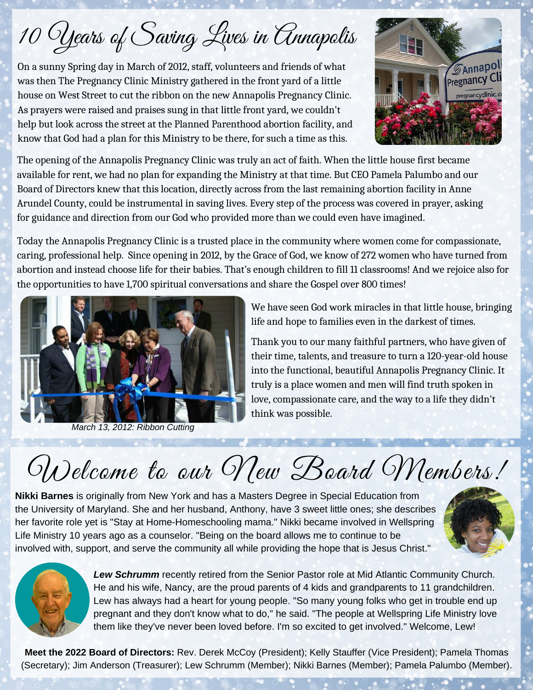10 Years of Saving Lives in Annapolis

On a sunny Spring day in March of 2012, staff, volunteers and friends of what was then The Pregnancy Clinic Ministry gathered in the front yard of a little house on West Street to cut the ribbon on the new Annapolis Pregnancy Clinic. As prayers were raised and praises sung in that little front yard, we couldn't help but look across the street at the Planned Parenthood abortion facility, and know that God had a plan for this Ministry to be there, for such a time as this.



The opening of the Annapolis Pregnancy Clinic was truly an act of faith. When the little house first became available for rent, we had no plan for expanding the Ministry at that time. But CEO Pamela Palumbo and our Board of Directors knew that this location, directly across from the last remaining abortion facility in Anne Arundel County, could be instrumental in saving lives. Every step of the process was covered in prayer, asking for guidance and direction from our God who provided more than we could even have imagined.

Today the Annapolis Pregnancy Clinic is a trusted place in the community where women come for compassionate, caring, professional help. Since opening in 2012, by the Grace of God, we know of 272 women who have turned from abortion and instead choose life for their babies. That's enough children to fill 11 classrooms! And we rejoice also for the opportunities to have 1,700 spiritual conversations and share the Gospel over 800 times!



*March 13, 2012: Ribbon Cutting*

We have seen God work miracles in that little house, bringing life and hope to families even in the darkest of times.

Thank you to our many faithful partners, who have given of their time, talents, and treasure to turn a 120-year-old house into the functional, beautiful Annapolis Pregnancy Clinic. It truly is a place women and men will find truth spoken in love, compassionate care, and the way to a life they didn't think was possible.

# Welcome to our New Board Members!

**Nikki Barnes** is originally from New York and has a Masters Degree in Special Education from the University of Maryland. She and her husband, Anthony, have 3 sweet little ones; she describes her favorite role yet is "Stay at Home-Homeschooling mama." Nikki became involved in Wellspring Life Ministry 10 years ago as a counselor. "Being on the board allows me to continue to be involved with, support, and serve the community all while providing the hope that is Jesus Christ."





*Lew Schrumm* recently retired from the Senior Pastor role at Mid Atlantic Community Church. He and his wife, Nancy, are the proud parents of 4 kids and grandparents to 11 grandchildren. Lew has always had a heart for young people. "So many young folks who get in trouble end up pregnant and they don't know what to do," he said. "The people at Wellspring Life Ministry love them like they've never been loved before. I'm so excited to get involved." Welcome, Lew!

**Meet the 2022 Board of Directors:** Rev. Derek McCoy (President); Kelly Stauffer (Vice President); Pamela Thomas (Secretary); Jim Anderson (Treasurer); Lew Schrumm (Member); Nikki Barnes (Member); Pamela Palumbo (Member).